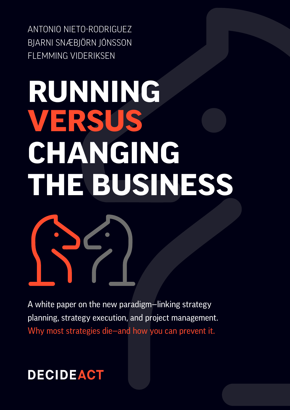ANTONIO NIETO-RODRIGUEZ BJARNI SNÆBJÖRN JÓNSSON FLEMMING VIDERIKSEN

# **RUNNING VERSUS CHANGING THE BUSINESS**

A white paper on the new paradigm—linking strategy planning, strategy execution, and project management. Why most strategies die—and how you can prevent it.

### **DECIDEACT**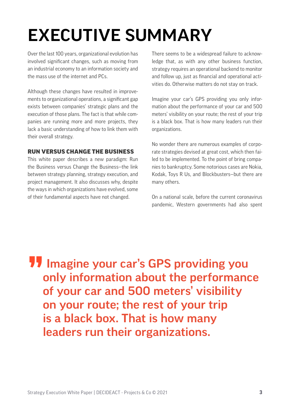# EXECUTIVE SUMMARY

Over the last 100 years, organizational evolution has involved significant changes, such as moving from an industrial economy to an information society and the mass use of the internet and PCs.

Although these changes have resulted in improvements to organizational operations, a significant gap exists between companies' strategic plans and the execution of those plans. The fact is that while companies are running more and more projects, they lack a basic understanding of how to link them with their overall strategy.

### RUN VERSUS CHANGE THE BUSINESS

This white paper describes a new paradigm: Run the Business versus Change the Business—the link between strategy planning, strategy execution, and project management. It also discusses why, despite the ways in which organizations have evolved, some of their fundamental aspects have not changed.

There seems to be a widespread failure to acknowledge that, as with any other business function, strategy requires an operational backend to monitor and follow up, just as financial and operational activities do. Otherwise matters do not stay on track.

Imagine your car's GPS providing you only information about the performance of your car and 500 meters' visibility on your route; the rest of your trip is a black box. That is how many leaders run their organizations.

No wonder there are numerous examples of corporate strategies devised at great cost, which then failed to be implemented. To the point of bring companies to bankruptcy. Some notorious cases are Nokia, Kodak, Toys R Us, and Blockbusters—but there are many others.

On a national scale, before the current coronavirus pandemic, Western governments had also spent

**11** Imagine your car's GPS providing you<br>only information about the performance only information about the performance of your car and 500 meters' visibility on your route; the rest of your trip is a black box. That is how many leaders run their organizations.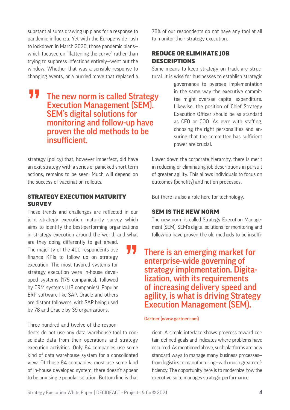substantial sums drawing up plans for a response to pandemic influenza. Yet with the Europe-wide rush to lockdown in March 2020, those pandemic plans which focused on "flattening the curve" rather than trying to suppress infections entirely—went out the window. Whether that was a sensible response to changing events, or a hurried move that replaced a

**11** The new norm is called Strategy Execution Management (SEM). SEM's digital solutions for monitoring and follow-up have proven the old methods to be insufficient.

strategy (policy) that, however imperfect, did have an exit strategy with a series of panicked short-term actions, remains to be seen. Much will depend on the success of vaccination rollouts.

### STRATEGY EXECUTION MATURITY **SURVEY**

These trends and challenges are reflected in our joint strategy execution maturity survey which aims to identify the best-performing organizations in strategy execution around the world, and what

are they doing differently to get ahead. The majority of the 400 respondents use finance KPIs to follow up on strategy execution. The most favored systems for strategy execution were in-house developed systems (175 companies), followed by CRM systems (118 companies). Popular ERP software like SAP, Oracle and others are distant followers, with SAP being used by 78 and Oracle by 39 organizations.

Three hundred and twelve of the respon-

dents do not use any data warehouse tool to consolidate data from their operations and strategy execution activities. Only 84 companies use some kind of data warehouse system for a consolidated view. Of those 84 companies, most use some kind of in-house developed system; there doesn't appear to be any single popular solution. Bottom line is that 78% of our respondents do not have any tool at all to monitor their strategy execution.

### REDUCE OR ELIMINATE JOB **DESCRIPTIONS**

Some means to keep strategy on track are structural. It is wise for businesses to establish strategic

> governance to oversee implementation in the same way the executive committee might oversee capital expenditure. Likewise, the position of Chief Strategy Execution Officer should be as standard as CFO or COO. As ever with staffing, choosing the right personalities and ensuring that the committee has sufficient power are crucial.

Lower down the corporate hierarchy, there is merit in reducing or eliminating job descriptions in pursuit of greater agility. This allows individuals to focus on outcomes (benefits) and not on processes.

But there is also a role here for technology.

#### SEM IS THE NEW NORM

The new norm is called Strategy Execution Management (SEM). SEM's digital solutions for monitoring and follow-up have proven the old methods to be insuffi-

There is an emerging market for<br>enterprise-wide governing of<br>strategy implementation. Digitaenterprise-wide governing of strategy implementation. Digita-<br>lization, with its requirements of increasing delivery speed and agility, is what is driving Strategy Execution Management (SEM).

#### Gartner (www.gartner.com)

cient. A simple interface shows progress toward certain defined goals and indicates where problems have occurred. As mentioned above, such platforms are now standard ways to manage many business processes from logistics to manufacturing—with much greater efficiency. The opportunity here is to modernize how the executive suite manages strategic performance.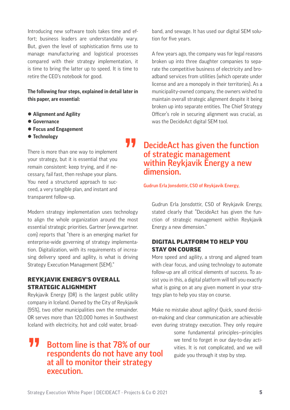Introducing new software tools takes time and effort; business leaders are understandably wary. But, given the level of sophistication firms use to manage manufacturing and logistical processes compared with their strategy implementation, it is time to bring the latter up to speed. It is time to retire the CEO's notebook for good.

#### **The following four steps, explained in detail later in this paper, are essential:**

- **Alignment and Agility**
- $\bullet$  **Governance**
- **Focus and Engagement**
- $\bullet$  Technology

There is more than one way to implement your strategy, but it is essential that you remain consistent: keep trying, and if necessary, fail fast, then reshape your plans. You need a structured approach to succeed, a very tangible plan, and instant and transparent follow-up.

Modern strategy implementation uses technology to align the whole organization around the most essential strategic priorities. Gartner (www.gartner. com) reports that "there is an emerging market for enterprise-wide governing of strategy implementation. Digitalization, with its requirements of increasing delivery speed and agility, is what is driving Strategy Execution Management (SEM)."

### REYKJAVIK ENERGY'S OVERALL STRATEGIC ALIGNMENT

Reykjavik Energy (OR) is the largest public utility company in Iceland. Owned by the City of Reykjavik (95%), two other municipalities own the remainder. OR serves more than 120,000 homes in Southwest Iceland with electricity, hot and cold water, broad-

### **TV** Bottom line is that 78% of our respondents do not have any t<br>at all to monitor their strategy respondents do not have any tool at all to monitor their strategy execution.

band, and sewage. It has used our digital SEM solution for five years.

A few years ago, the company was for legal reasons broken up into three daughter companies to separate the competitive business of electricity and broadband services from utilities (which operate under license and are a monopoly in their territories). As a municipality-owned company, the owners wished to maintain overall strategic alignment despite it being broken up into separate entities. The Chief Strategy Officer's role in securing alignment was crucial, as was the DecideAct digital SEM tool.

### **THE DECIDEACT AS SEVERT THE FUNCTION OF STATE SET ASSEMNATION CONTROVATE SETABLE SETABLE SETABLE SETABLE SETABLE SETABLE SETABLE SETABLE SETABLE SETABLE SETABLE SETABLE SETABLE SETABLE SETABLE SETABLE SETABLE SETABLE SETA** of strategic management dimension.

Gudrun Erla Jonsdottir, CSO of Reykjavik Energy,

Gudrun Erla Jonsdottir, CSO of Reykjavik Energy, stated clearly that "DecideAct has given the function of strategic management within Reykjavik Energy a new dimension."

### DIGITAL PLATFORM TO HELP YOU STAY ON COURSE

More speed and agility, a strong and aligned team with clear focus, and using technology to automate follow-up are all critical elements of success. To assist you in this, a digital platform will tell you exactly what is going on at any given moment in your strategy plan to help you stay on course.

Make no mistake about agility! Quick, sound decision-making and clear communication are achievable even during strategy execution. They only require

> some fundamental principles—principles we tend to forget in our day-to-day activities. It is not complicated, and we will guide you through it step by step.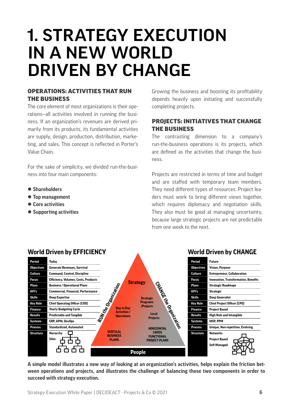# 1. STRATEGY EXECUTION IN A NEW WORLD DRIVEN BY CHANGE

### OPERATIONS: ACTIVITIES THAT RUN THE BUSINESS

The core element of most organizations is their operations—all activities involved in running the business. If an organization's revenues are derived primarily from its products, its fundamental activities are supply, design, production, distribution, marketing, and sales. This concept is reflected in Porter's Value Chain.

For the sake of simplicity, we divided run-the-business into four main components:

- z **Shareholders**
- $\bullet$  **Top management**
- $\bullet$  **Core activities**
- $\bullet$  **Supporting activities**

Growing the business and boosting its profitability depends heavily upon initiating and successfully completing projects.

### PROJECTS: INITIATIVES THAT CHANGE THE BUSINESS

The contrasting dimension to a company's run-the-business operations is its projects, which are defined as the activities that change the business.

Projects are restricted in terms of time and budget and are staffed with temporary team members. They need different types of resources. Project leaders must work to bring different views together, which requires diplomacy and negotiation skills. They also must be good at managing uncertainty, because large strategic projects are not predictable from one week to the next.



#### **A simple model illustrates a new way of looking at an organization's activities, helps explain the friction between operations and projects, and illustrates the challenge of balancing those two components in order to succeed with strategy execution.**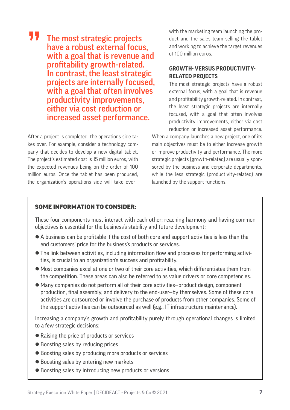### **77** The most strategic projects have a robust external focus, with a goal that is revenue and profitability growth-related. In contrast, the least strategic projects are internally focused, with a goal that often involves productivity improvements, either via cost reduction or increased asset performance.

After a project is completed, the operations side takes over. For example, consider a technology company that decides to develop a new digital tablet. The project's estimated cost is 15 million euros, with the expected revenues being on the order of 100 million euros. Once the tablet has been produced, the organization's operations side will take overwith the marketing team launching the product and the sales team selling the tablet and working to achieve the target revenues of 100 million euros.

### **GROWTH- VERSUS PRODUCTIVITY-RELATED PROJECTS**

The most strategic projects have a robust external focus, with a goal that is revenue and profitability growth-related. In contrast, the least strategic projects are internally focused, with a goal that often involves productivity improvements, either via cost reduction or increased asset performance.

When a company launches a new project, one of its main objectives must be to either increase growth or improve productivity and performance. The more strategic projects (growth-related) are usually sponsored by the business and corporate departments, while the less strategic (productivity-related) are launched by the support functions.

### SOME INFORMATION TO CONSIDER:

These four components must interact with each other; reaching harmony and having common objectives is essential for the business's stability and future development:

- $\bullet$  A business can be profitable if the cost of both core and support activities is less than the end customers' price for the business's products or services.
- The link between activities, including information flow and processes for performing activities, is crucial to an organization's success and profitability.
- $\bullet$  Most companies excel at one or two of their core activities, which differentiates them from the competition. These areas can also be referred to as value drivers or core competencies.
- Many companies do not perform all of their core activities–product design, component production, final assembly, and delivery to the end-user—by themselves. Some of these core activities are outsourced or involve the purchase of products from other companies. Some of the support activities can be outsourced as well (e.g., IT infrastructure maintenance).

Increasing a company's growth and profitability purely through operational changes is limited to a few strategic decisions:

- Raising the price of products or services
- Boosting sales by reducing prices
- $\bullet$  Boosting sales by producing more products or services
- Boosting sales by entering new markets
- Boosting sales by introducing new products or versions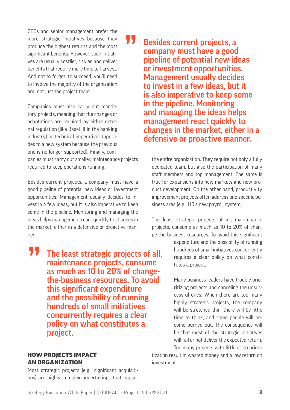CEOs and senior management prefer the more strategic initiatives because they produce the highest returns and the most significant benefits. However, such initiatives are usually costlier, riskier, and deliver benefits that require more time to harvest. And not to forget: to succeed, you´ll need to involve the majority of the organization and not just the project team.

Companies must also carry out mandatory projects, meaning that the changes or adaptations are required by either external regulation (like Basel III in the banking industry) or technical imperatives (upgrades to a new system because the previous one is no longer supported). Finally, companies must carry out smaller, maintenance projects required to keep operations running.

Besides current projects, a company must have a good pipeline of potential new ideas or investment opportunities. Management usually decides to invest in a few ideas, but it is also imperative to keep some in the pipeline. Monitoring and managing the ideas helps management react quickly to changes in the market, either in a defensive or proactive manner.

The least strategic projects of all,<br>maintenance projects, consume<br>as much as 10 to 20% of change-<br>the business resources. To sucid maintenance projects, consume as much as 10 to 20% of changethe-business resources. To avoid this significant expenditure and the possibility of running hundreds of small initiatives concurrently requires a clear policy on what constitutes a project.

### **11** Besides current projects, a company must have a good pipeline of potential new ideas or investment opportunities. Management usually decides to invest in a few ideas, but it is also imperative to keep some in the pipeline. Monitoring and managing the ideas helps management react quickly to changes in the market, either in a defensive or proactive manner.

the entire organization. They require not only a fully dedicated team, but also the participation of many staff members and top management. The same is true for expansions into new markets and new product development. On the other hand, productivity improvement projects often address one specific business area (e.g., HR's new payroll system).

The least strategic projects of all, maintenance projects, consume as much as 10 to 20% of change-the-business resources. To avoid this significant

> expenditure and the possibility of running hundreds of small initiatives concurrently requires a clear policy on what constitutes a project.

> Many business leaders have trouble prioritizing projects and canceling the unsuccessful ones. When there are too many highly strategic projects, the company will be stretched thin, there will be little time to think, and some people will become burned out. The consequence will be that most of the strategic initiatives will fail or not deliver the expected return. Too many projects with little or no priori-

tization result in wasted money and a low return on investment.

### HOW PROJECTS IMPACT AN ORGANIZATION

Most strategic projects (e.g., significant acquisitions) are highly complex undertakings that impact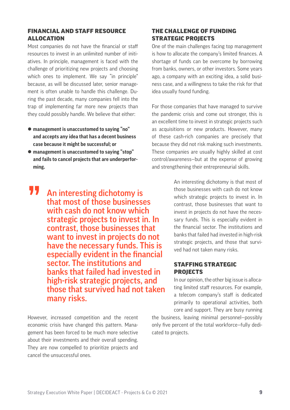### FINANCIAL AND STAFF RESOURCE ALLOCATION

Most companies do not have the financial or staff resources to invest in an unlimited number of initiatives. In principle, management is faced with the challenge of prioritizing new projects and choosing which ones to implement. We say "in principle" because, as will be discussed later, senior management is often unable to handle this challenge. During the past decade, many companies fell into the trap of implementing far more new projects than they could possibly handle. We believe that either:

- z **management is unaccustomed to saying "no" and accepts any idea that has a decent business case because it might be successful; or**
- **management is unaccustomed to saying "stop" and fails to cancel projects that are underperforming.**
- **11** An interesting dichotomy is that most of those businesses with cash do not know which strategic projects to invest in. In contrast, those businesses that want to invest in projects do not have the necessary funds. This is especially evident in the financial sector. The institutions and banks that failed had invested in high-risk strategic projects, and those that survived had not taken many risks.

However, increased competition and the recent economic crisis have changed this pattern. Management has been forced to be much more selective about their investments and their overall spending. They are now compelled to prioritize projects and cancel the unsuccessful ones.

### THE CHALLENGE OF FUNDING STRATEGIC PROJECTS

One of the main challenges facing top management is how to allocate the company's limited finances. A shortage of funds can be overcome by borrowing from banks, owners, or other investors. Some years ago, a company with an exciting idea, a solid business case, and a willingness to take the risk for that idea usually found funding.

For those companies that have managed to survive the pandemic crisis and come out stronger, this is an excellent time to invest in strategic projects such as acquisitions or new products. However, many of these cash-rich companies are precisely that because they did not risk making such investments. These companies are usually highly skilled at cost control/awareness—but at the expense of growing and strengthening their entrepreneurial skills.

> An interesting dichotomy is that most of those businesses with cash do not know which strategic projects to invest in. In contrast, those businesses that want to invest in projects do not have the necessary funds. This is especially evident in the financial sector. The institutions and banks that failed had invested in high-risk strategic projects, and those that survived had not taken many risks.

### STAFFING STRATEGIC PROJECTS

In our opinion, the other big issue is allocating limited staff resources. For example, a telecom company's staff is dedicated primarily to operational activities, both core and support. They are busy running

the business, leaving minimal personnel—possibly only five percent of the total workforce—fully dedicated to projects.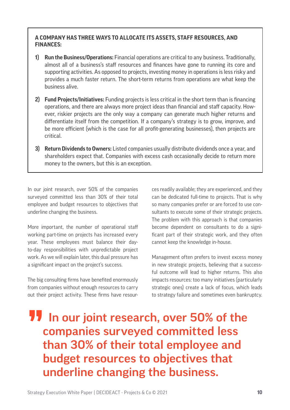### **A COMPANY HAS THREE WAYS TO ALLOCATE ITS ASSETS, STAFF RESOURCES, AND FINANCES:**

- **1) Run the Business/Operations:** Financial operations are critical to any business. Traditionally, almost all of a business's staff resources and finances have gone to running its core and supporting activities. As opposed to projects, investing money in operations is less risky and provides a much faster return. The short-term returns from operations are what keep the business alive.
- **2) Fund Projects/Initiatives:** Funding projects is less critical in the short term than is financing operations, and there are always more project ideas than financial and staff capacity. However, riskier projects are the only way a company can generate much higher returns and differentiate itself from the competition. If a company's strategy is to grow, improve, and be more efficient (which is the case for all profit-generating businesses), then projects are critical.
- **3) Return Dividends to Owners:** Listed companies usually distribute dividends once a year, and shareholders expect that. Companies with excess cash occasionally decide to return more money to the owners, but this is an exception.

In our joint research, over 50% of the companies surveyed committed less than 30% of their total employee and budget resources to objectives that underline changing the business.

More important, the number of operational staff working part-time on projects has increased every year. These employees must balance their dayto-day responsibilities with unpredictable project work. As we will explain later, this dual pressure has a significant impact on the project's success.

The big consulting firms have benefited enormously from companies without enough resources to carry out their project activity. These firms have resources readily available; they are experienced, and they can be dedicated full-time to projects. That is why so many companies prefer or are forced to use consultants to execute some of their strategic projects. The problem with this approach is that companies become dependent on consultants to do a significant part of their strategic work, and they often cannot keep the knowledge in-house.

Management often prefers to invest excess money in new strategic projects, believing that a successful outcome will lead to higher returns. This also impacts resources: too many initiatives (particularly strategic ones) create a lack of focus, which leads to strategy failure and sometimes even bankruptcy.

### **11** In our joint research, over 50% of the companies surveyed committed less than 30% of their total employee and budget resources to objectives that underline changing the business.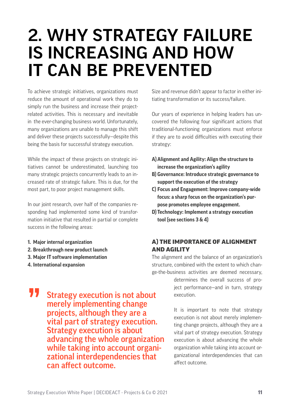## 2. WHY STRATEGY FAILURE IS INCREASING AND HOW IT CAN BE PREVENTED

To achieve strategic initiatives, organizations must reduce the amount of operational work they do to simply run the business and increase their projectrelated activities. This is necessary and inevitable in the ever-changing business world. Unfortunately, many organizations are unable to manage this shift and deliver these projects successfully—despite this being the basis for successful strategy execution.

While the impact of these projects on strategic initiatives cannot be underestimated, launching too many strategic projects concurrently leads to an increased rate of strategic failure. This is due, for the most part, to poor project management skills.

In our joint research, over half of the companies responding had implemented some kind of transformation initiative that resulted in partial or complete success in the following areas:

- **1. Major internal organization**
- **2. Breakthrough new product launch**
- **3. Major IT software implementation**
- **4. International expansion**

Size and revenue didn't appear to factor in either initiating transformation or its success/failure.

Our years of experience in helping leaders has uncovered the following four significant actions that traditional-functioning organizations must enforce if they are to avoid difficulties with executing their strategy:

- **A)Alignment and Agility: Align the structure to increase the organization's agility**
- **B) Governance: Introduce strategic governance to support the execution of the strategy**
- **C) Focus and Engagement: Improve company-wide focus: a sharp focus on the organization's purpose promotes employee engagement.**
- **D) Technology: Implement a strategy execution tool (see sections 3 & 4)**

### A) THE IMPORTANCE OF ALIGNMENT AND AGILITY

The alignment and the balance of an organization's structure, combined with the extent to which change-the-business activities are deemed necessary,

> determines the overall success of project performance—and in turn, strategy execution.

**11** Strategy execution is not about merely implementing change projects, although they are a vital part of strategy execution. Strategy execution is about advancing the whole organization while taking into account organizational interdependencies that can affect outcome.

It is important to note that strategy execution is not about merely implementing change projects, although they are a vital part of strategy execution. Strategy execution is about advancing the whole organization while taking into account organizational interdependencies that can affect outcome.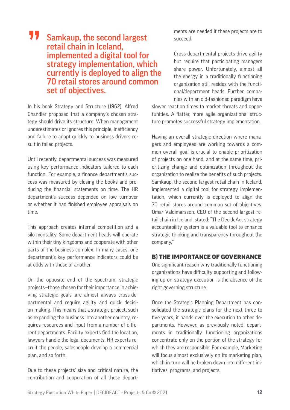### **11** Samkaup, the second largest retail chain in Iceland, implemented a digital tool for strategy implementation, which currently is deployed to align the 70 retail stores around common set of objectives.

In his book Strategy and Structure (1962), Alfred Chandler proposed that a company's chosen strategy should drive its structure. When management underestimates or ignores this principle, inefficiency and failure to adapt quickly to business drivers result in failed projects.

Until recently, departmental success was measured using key performance indicators tailored to each function. For example, a finance department's success was measured by closing the books and producing the financial statements on time. The HR department's success depended on low turnover or whether it had finished employee appraisals on time.

This approach creates internal competition and a silo mentality. Some department heads will operate within their tiny kingdoms and cooperate with other parts of the business complex. In many cases, one department's key performance indicators could be at odds with those of another.

On the opposite end of the spectrum, strategic projects—those chosen for their importance in achieving strategic goals—are almost always cross-departmental and require agility and quick decision-making. This means that a strategic project, such as expanding the business into another country, requires resources and input from a number of different departments. Facility experts find the location, lawyers handle the legal documents, HR experts recruit the people, salespeople develop a commercial plan, and so forth.

Due to these projects' size and critical nature, the contribution and cooperation of all these departments are needed if these projects are to succeed.

Cross-departmental projects drive agility but require that participating managers share power. Unfortunately, almost all the energy in a traditionally functioning organization still resides with the functional/department heads. Further, companies with an old-fashioned paradigm have

slower reaction times to market threats and opportunities. A flatter, more agile organizational structure promotes successful strategy implementation.

Having an overall strategic direction where managers and employees are working towards a common overall goal is crucial to enable prioritization of projects on one hand, and at the same time, prioritizing change and optimization throughout the organization to realize the benefits of such projects. Samkaup, the second largest retail chain in Iceland, implemented a digital tool for strategy implementation, which currently is deployed to align the 70 retail stores around common set of objectives. Omar Valdimarsson, CEO of the second largest retail chain in Iceland, stated: "The DecideAct strategy accountability system is a valuable tool to enhance strategic thinking and transparency throughout the company."

### B) THE IMPORTANCE OF GOVERNANCE

One significant reason why traditionally functioning organizations have difficulty supporting and following up on strategy execution is the absence of the right governing structure.

Once the Strategic Planning Department has consolidated the strategic plans for the next three to five years, it hands over the execution to other departments. However, as previously noted, departments in traditionally functioning organizations concentrate only on the portion of the strategy for which they are responsible. For example, Marketing will focus almost exclusively on its marketing plan. which in turn will be broken down into different initiatives, programs, and projects.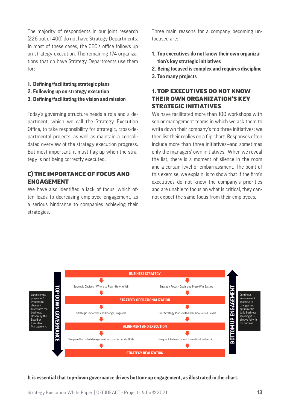The majority of respondents in our joint research (226 out of 400) do not have Strategy Departments. In most of these cases, the CEO's office follows up on strategy execution. The remaining 174 organizations that do have Strategy Departments use them for:

- **1. Defining/facilitating strategic plans**
- **2. Following up on strategy execution**
- **3. Defining/facilitating the vision and mission**

Today's governing structure needs a role and a department, which we call the Strategy Execution Office, to take responsibility for strategic, cross-departmental projects, as well as maintain a consolidated overview of the strategy execution progress. But most important, it must flag up when the strategy is not being correctly executed.

### C) THE IMPORTANCE OF FOCUS AND ENGAGEMENT

We have also identified a lack of focus, which often leads to decreasing employee engagement, as a serious hindrance to companies achieving their strategies.

Three main reasons for a company becoming unfocused are:

- **1. Top executives do not know their own organization's key strategic initiatives**
- **2. Being focused is complex and requires discipline**
- **3. Too many projects**

### 1. TOP EXECUTIVES DO NOT KNOW THEIR OWN ORGANIZATION'S KEY STRATEGIC INITIATIVES

We have facilitated more than 100 workshops with senior management teams in which we ask them to write down their company's top three initiatives; we then list their replies on a flip chart. Responses often include more than three initiatives—and sometimes only the managers' own initiatives. When we reveal the list, there is a moment of silence in the room and a certain level of embarrassment. The point of this exercise, we explain, is to show that if the firm's executives do not know the company's priorities and are unable to focus on what is critical, they cannot expect the same focus from their employees.



**It is essential that top-down governance drives bottom-up engagement, as illustrated in the chart.**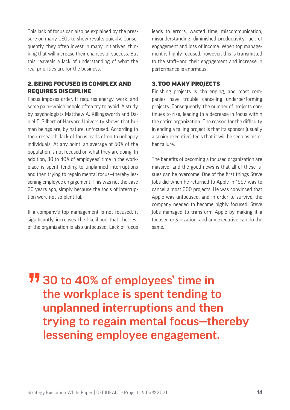This lack of focus can also be explained by the pressure on many CEOs to show results quickly. Consequently, they often invest in many initiatives, thinking that will increase their chances of success. But this reaveals a lack of understanding of what the real priorities are for the business.

### 2. BEING FOCUSED IS COMPLEX AND REQUIRES DISCIPLINE

Focus imposes order. It requires energy, work, and some pain—which people often try to avoid. A study by psychologists Matthew A. Killingsworth and Daniel T. Gilbert of Harvard University shows that human beings are, by nature, unfocused. According to their research, lack of focus leads often to unhappy individuals. At any point, an average of 50% of the population is not focused on what they are doing. In addition, 30 to 40% of employees' time in the workplace is spent tending to unplanned interruptions and then trying to regain mental focus—thereby lessening employee engagement. This was not the case 20 years ago, simply because the tools of interruption were not so plentiful.

If a company's top management is not focused, it significantly increases the likelihood that the rest of the organization is also unfocused. Lack of focus leads to errors, wasted time, miscommunication, misunderstanding, diminished productivity, lack of engagement and loss of income. When top management is highly focused, however, this is transmitted to the staff—and their engagement and increase in performance is enormous.

### 3. TOO MANY PROJECTS

Finishing projects is challenging, and most companies have trouble canceling underperforming projects. Consequently, the number of projects continues to rise, leading to a decrease in focus within the entire organization. One reason for the difficulty in ending a failing project is that its sponsor (usually a senior executive) feels that it will be seen as his or her failure.

The benefits of becoming a focused organization are massive—and the good news is that all of these issues can be overcome. One of the first things Steve Jobs did when he returned to Apple in 1997 was to cancel almost 300 projects. He was convinced that Apple was unfocused, and in order to survive, the company needed to become highly focused. Steve Jobs managed to transform Apple by making it a focused organization, and any executive can do the same.

**11** 30 to 40% of employees' time in<br>the workplace is spent tending to the workplace is spent tending to unplanned interruptions and then trying to regain mental focus—thereby lessening employee engagement.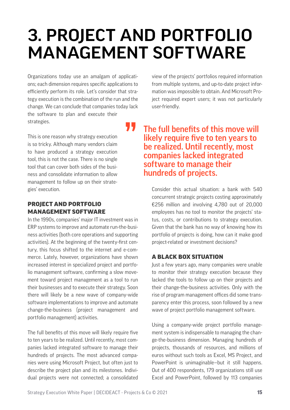# 3. PROJECT AND PORTFOLIO MANAGEMENT SOFTWARE

Organizations today use an amalgam of applications; each dimension requires specific applications to efficiently perform its role. Let's consider that strategy execution is the combination of the run and the change. We can conclude that companies today lack the software to plan and execute their strategies.

This is one reason why strategy execution is so tricky. Although many vendors claim to have produced a strategy execution tool, this is not the case. There is no single tool that can cover both sides of the business and consolidate information to allow management to follow up on their strategies' execution.

### PROJECT AND PORTFOLIO MANAGEMENT SOFTWARE

In the 1990s, companies' major IT investment was in ERP systems to improve and automate run-the-business activities (both core operations and supporting activities). At the beginning of the twenty-first century, this focus shifted to the internet and e-commerce. Lately, however, organizations have shown increased interest in specialized project and portfolio management software, confirming a slow movement toward project management as a tool to run their businesses and to execute their strategy. Soon there will likely be a new wave of company-wide software implementations to improve and automate change-the-business (project management and portfolio management) activities.

The full benefits of this move will likely require five to ten years to be realized. Until recently, most companies lacked integrated software to manage their hundreds of projects. The most advanced companies were using Microsoft Project, but often just to describe the project plan and its milestones. Individual projects were not connected; a consolidated view of the projects' portfolios required information from multiple systems, and up-to-date project information was impossible to obtain. And Microsoft Project required expert users; it was not particularly user-friendly.

### **11** The full benefits of this move will likely require five to ten years to be realized. Until recently, most companies lacked integrated software to manage their hundreds of projects.

Consider this actual situation: a bank with 540 concurrent strategic projects costing approximately €256 million and involving 4,780 out of 20,000 employees has no tool to monitor the projects' status, costs, or contributions to strategy execution. Given that the bank has no way of knowing how its portfolio of projects is doing, how can it make good project-related or investment decisions?

### A BLACK BOX SITUATION

Just a few years ago, many companies were unable to monitor their strategy execution because they lacked the tools to follow up on their projects and their change-the-business activities. Only with the rise of program management offices did some transparency enter this process, soon followed by a new wave of project portfolio management software.

Using a company-wide project portfolio management system is indispensable to managing the change-the-business dimension. Managing hundreds of projects, thousands of resources, and millions of euros without such tools as Excel, MS Project, and PowerPoint is unimaginable—but it still happens. Out of 400 respondents, 179 organizations still use Excel and PowerPoint, followed by 113 companies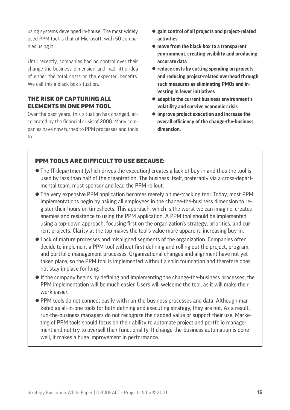using systems developed in-house. The most widely used PPM tool is that of Microsoft, with 50 companies using it.

Until recently, companies had no control over their change-the-business dimension and had little idea of either the total costs or the expected benefits. We call this a black hox situation.

### THE RISK OF CAPTURING ALL ELEMENTS IN ONE PPM TOOL

Over the past years, this situation has changed, accelerated by the financial crisis of 2008. Many companies have now turned to PPM processes and tools to:

- $\bullet$  **gain control of all projects and project-related activities**
- move from the black box to a transparent **environment, creating visibility and producing accurate data**
- $\bullet$  reduce costs by cutting spending on projects **and reducing project-related overhead through such measures as eliminating PMOs and investing in fewer initiatives**
- adapt to the current business environment's **volatility and survive economic crisis**
- $\bullet$  improve project execution and increase the **overall efficiency of the change-the-business dimension.**

### PPM TOOLS ARE DIFFICULT TO USE BECAUSE:

- The IT department (which drives the execution) creates a lack of buy-in and thus the tool is used by less than half of the organization. The business itself, preferably via a cross-departmental team, must sponsor and lead the PPM rollout.
- The very expensive PPM application becomes merely a time-tracking tool. Today, most PPM implementations begin by asking all employees in the change-the-business dimension to register their hours on timesheets. This approach, which is the worst we can imagine, creates enemies and resistance to using the PPM application. A PPM tool should be implemented using a top-down approach, focusing first on the organization's strategy, priorities, and current projects. Clarity at the top makes the tool's value more apparent, increasing buy-in.
- $\bullet$  Lack of mature processes and misaligned segments of the organization. Companies often decide to implement a PPM tool without first defining and rolling out the project, program, and portfolio management processes. Organizational changes and alignment have not yet taken place, so the PPM tool is implemented without a solid foundation and therefore does not stay in place for long.
- If the company begins by defining and implementing the change-the-business processes, the PPM implementation will be much easier. Users will welcome the tool, as it will make their work easier.
- PPM tools do not connect easily with run-the-business processes and data. Although marketed as all-in-one tools for both defining and executing strategy, they are not. As a result, run-the-business managers do not recognize their added value or support their use. Marketing of PPM tools should focus on their ability to automate project and portfolio management and not try to oversell their functionality. If change-the-business automation is done well, it makes a huge improvement in performance.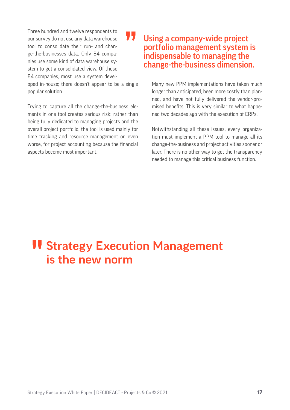Three hundred and twelve respondents to our survey do not use any data warehouse tool to consolidate their run- and change-the-businesses data. Only 84 companies use some kind of data warehouse system to get a consolidated view. Of those 84 companies, most use a system devel-

oped in-house; there doesn't appear to be a single popular solution.

Trying to capture all the change-the-business elements in one tool creates serious risk: rather than being fully dedicated to managing projects and the overall project portfolio, the tool is used mainly for time tracking and resource management or, even worse, for project accounting because the financial aspects become most important.

### **TV** Using a company-wide project<br>portfolio management system<br>indispensable to managing the portfolio management system is indispensable to managing the change-the-business dimension.

Many new PPM implementations have taken much longer than anticipated, been more costly than planned, and have not fully delivered the vendor-promised benefits. This is very similar to what happened two decades ago with the execution of ERPs.

Notwithstanding all these issues, every organization must implement a PPM tool to manage all its change-the-business and project activities sooner or later. There is no other way to get the transparency needed to manage this critical business function.

## **II Strategy Execution Management<br>is the new norm** is the new norm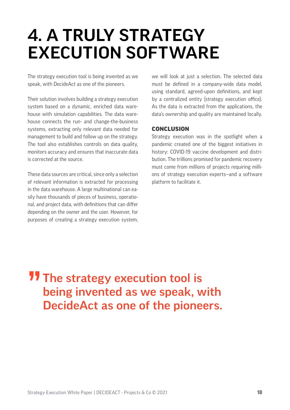# 4. A TRULY STRATEGY EXECUTION SOFTWARE

The strategy execution tool is being invented as we speak, with DecideAct as one of the pioneers.

Their solution involves building a strategy execution system based on a dynamic, enriched data warehouse with simulation capabilities. The data warehouse connects the run- and change-the-business systems, extracting only relevant data needed for management to build and follow up on the strategy. The tool also establishes controls on data quality, monitors accuracy and ensures that inaccurate data is corrected at the source.

These data sources are critical, since only a selection of relevant information is extracted for processing in the data warehouse. A large multinational can easily have thousands of pieces of business, operational, and project data, with definitions that can differ depending on the owner and the user. However, for purposes of creating a strategy execution system, we will look at just a selection. The selected data must be defined in a company-wide data model, using standard, agreed-upon definitions, and kept by a centralized entity (strategy execution office). As the data is extracted from the applications, the data's ownership and quality are maintained locally.

#### **CONCLUSION**

Strategy execution was in the spotlight when a pandemic created one of the biggest initiatives in history: COVID-19 vaccine development and distribution. The trillions promised for pandemic recovery must come from millions of projects requiring millions of strategy execution experts—and a software platform to facilitate it.

### **11** The strategy execution tool is<br>being invented as we speak, w being invented as we speak, with DecideAct as one of the pioneers.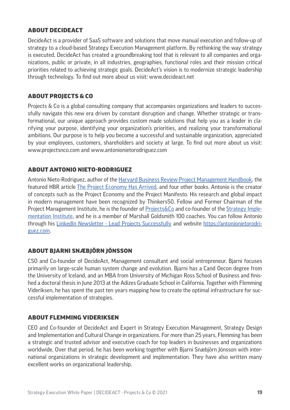### ABOUT DECIDEACT

DecideAct is a provider of SaaS software and solutions that move manual execution and follow-up of strategy to a cloud-based Strategy Execution Management platform. By rethinking the way strategy is executed, DecideAct has created a groundbreaking tool that is relevant to all companies and organizations, public or private, in all industries, geographies, functional roles and their mission critical priorities related to achieving strategic goals. DecideAct's vision is to modernize strategic leadership through technology. To find out more about us visit: www.decideact.net

### ABOUT PROJECTS & CO

Projects & Co is a global consulting company that accompanies organizations and leaders to successfully navigate this new era driven by constant disruption and change. Whether strategic or transformational, our unique approach provides custom made solutions that help you as a leader in clarifying your purpose, identifying your organization's priorities, and realizing your transformational ambitions. Our purpose is to help you become a successful and sustainable organization, appreciated by your employees, customers, shareholders and society at large. To find out more about us visit: www.projectsnco.com and www.antonionietorodriguez.com

### ABOUT ANTONIO NIETO-RODRIGUEZ

Antonio Nieto-Rodriguez, author of the [Harvard Business Review Project Management Handbook,](https://www.amazon.com/Harvard-Business-Project-Management-Handbook/dp/1647821266) the featured HBR article [The Project Economy Has Arrived](https://hbr.org/2021/11/the-project-economy-has-arrived?ab=seriesnav-spotlight), and four other books. Antonio is the creator of concepts such as the Project Economy and the Project Manifesto. His research and global impact in modern management have been recognized by Thinkers50. Fellow and Former Chairman of the Project Management Institute, he is the founder of [Projects&Co](https://projectsnco.com/) and co-founder of the [Strategy Imple](https://www.strategyimplementationinstitute.org/)[mentation Institute](https://www.strategyimplementationinstitute.org/), and he is a member of Marshall Goldsmith 100 coaches. You can follow Antonio through his [LinkedIn Newsletter - Lead Projects Successfully](https://www.linkedin.com/newsletters/lead-projects-successfully-6820596029113565184/) and website [https://antonionietorodri](https://antonionietorodriguez.com/)[guez.com](https://antonionietorodriguez.com/).

### ABOUT BJARNI SNÆBJÖRN JÓNSSON

CSO and Co-founder of DecideAct, Management consultant and social entrepreneur. Bjarni focuses primarily on large-scale human system change and evolution. Bjarni has a Cand Oecon degree from the University of Iceland, and an MBA from University of Michigan Ross School of Business and finished a doctoral thesis in June 2013 at the Adizes Graduate School in California. Together with Flemming Videriksen, he has spent the past ten years mapping how to create the optimal infrastructure for successful implementation of strategies.

### ABOUT FLEMMING VIDERIKSEN

CEO and Co-founder of DecideAct and Expert in Strategy Execution Management, Strategy Design and Implementation and Cultural Change in organizations. For more than 25 years, Flemming has been a strategic and trusted advisor and executive coach for top leaders in businesses and organizations worldwide. Over that period, he has been working together with Bjarni Snæbjörn Jónsson with international organizations in strategic development and implementation. They have also written many excellent works on organizational leadership.